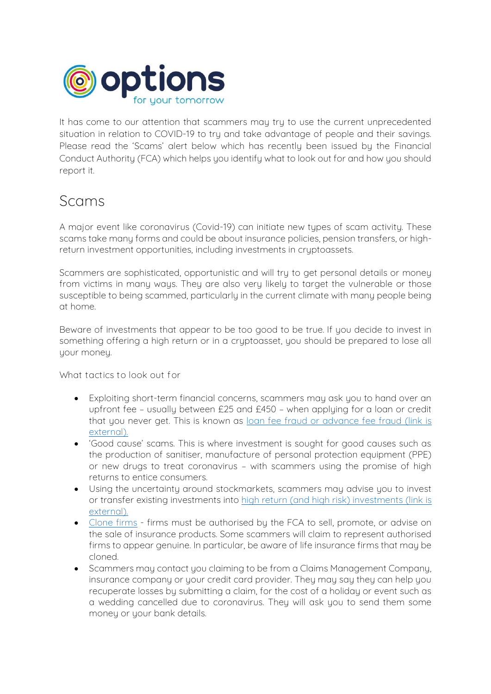

It has come to our attention that scammers may try to use the current unprecedented situation in relation to COVID-19 to try and take advantage of people and their savings. Please read the 'Scams' alert below which has recently been issued by the Financial Conduct Authority (FCA) which helps you identify what to look out for and how you should report it.

## Scams

A major event like coronavirus (Covid-19) can initiate new types of scam activity. These scams take many forms and could be about insurance policies, pension transfers, or highreturn investment opportunities, including investments in cruptoassets.

Scammers are sophisticated, opportunistic and will try to get personal details or money from victims in many ways. They are also very likely to target the vulnerable or those susceptible to being scammed, particularly in the current climate with many people being at home.

Beware of investments that appear to be too good to be true. If you decide to invest in something offering a high return or in a cryptoasset, you should be prepared to lose all your money.

**What tactics to look out for**

- Exploiting short-term financial concerns, scammers may ask you to hand over an upfront fee – usually between £25 and £450 – when applying for a loan or credit that you never get. This is known as loan fee fraud or advance fee fraud (link is external).
- 'Good cause' scams. This is where investment is sought for good causes such as the production of sanitiser, manufacture of personal protection equipment (PPE) or new drugs to treat coronavirus – with scammers using the promise of high returns to entice consumers.
- Using the uncertainty around stockmarkets, scammers may advise you to invest or transfer existing investments into high return (and high risk) investments (link is external).
- Clone firms firms must be authorised by the FCA to sell, promote, or advise on the sale of insurance products. Some scammers will claim to represent authorised firms to appear genuine. In particular, be aware of life insurance firms that may be cloned.
- Scammers may contact you claiming to be from a Claims Management Company, insurance company or your credit card provider. They may say they can help you recuperate losses by submitting a claim, for the cost of a holiday or event such as a wedding cancelled due to coronavirus. They will ask you to send them some money or your bank details.